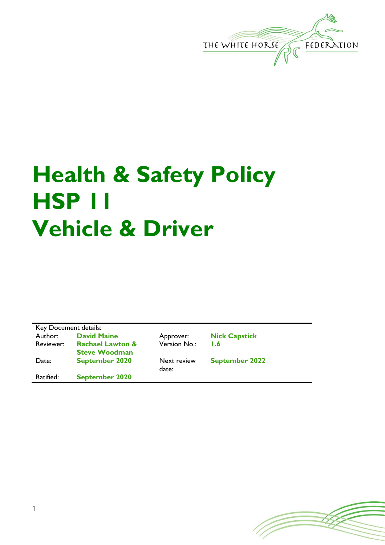

# **Health & Safety Policy HSP 11 Vehicle & Driver**

| Key Document details: |                             |  |
|-----------------------|-----------------------------|--|
| Author:               | <b>David Maine</b>          |  |
| Reviewer:             | <b>Rachael Lawton &amp;</b> |  |
|                       | <b>Steve Woodman</b>        |  |
| Date:                 | <b>September 2020</b>       |  |
| Ratified:             | <b>September 2020</b>       |  |

Version No.: **1.6**

**Next review** 

date:

Approver: **Nick Capstick** 

**September 2022**

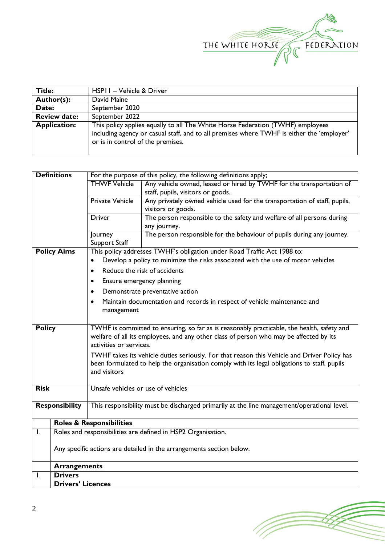

| <b>Title:</b>       | HSPII - Vehicle & Driver                                                                                                                                                                                         |
|---------------------|------------------------------------------------------------------------------------------------------------------------------------------------------------------------------------------------------------------|
| Author(s):          | David Maine                                                                                                                                                                                                      |
| Date:               | September 2020                                                                                                                                                                                                   |
| <b>Review date:</b> | September 2022                                                                                                                                                                                                   |
| <b>Application:</b> | This policy applies equally to all The White Horse Federation (TWHF) employees<br>including agency or casual staff, and to all premises where TWHF is either the 'employer'<br>or is in control of the premises. |

| <b>Definitions</b><br>For the purpose of this policy, the following definitions apply;<br><b>THWF Vehicle</b><br>Any vehicle owned, leased or hired by TWHF for the transportation of<br>staff, pupils, visitors or goods.<br><b>Private Vehicle</b><br>Any privately owned vehicle used for the transportation of staff, pupils,<br>visitors or goods.<br>The person responsible to the safety and welfare of all persons during<br><b>Driver</b><br>any journey.<br>The person responsible for the behaviour of pupils during any journey.<br>Journey<br>Support Staff<br><b>Policy Aims</b><br>This policy addresses TWHF's obligation under Road Traffic Act 1988 to:<br>Develop a policy to minimize the risks associated with the use of motor vehicles<br>Reduce the risk of accidents<br>$\bullet$ |  |  |
|------------------------------------------------------------------------------------------------------------------------------------------------------------------------------------------------------------------------------------------------------------------------------------------------------------------------------------------------------------------------------------------------------------------------------------------------------------------------------------------------------------------------------------------------------------------------------------------------------------------------------------------------------------------------------------------------------------------------------------------------------------------------------------------------------------|--|--|
|                                                                                                                                                                                                                                                                                                                                                                                                                                                                                                                                                                                                                                                                                                                                                                                                            |  |  |
|                                                                                                                                                                                                                                                                                                                                                                                                                                                                                                                                                                                                                                                                                                                                                                                                            |  |  |
|                                                                                                                                                                                                                                                                                                                                                                                                                                                                                                                                                                                                                                                                                                                                                                                                            |  |  |
|                                                                                                                                                                                                                                                                                                                                                                                                                                                                                                                                                                                                                                                                                                                                                                                                            |  |  |
|                                                                                                                                                                                                                                                                                                                                                                                                                                                                                                                                                                                                                                                                                                                                                                                                            |  |  |
|                                                                                                                                                                                                                                                                                                                                                                                                                                                                                                                                                                                                                                                                                                                                                                                                            |  |  |
|                                                                                                                                                                                                                                                                                                                                                                                                                                                                                                                                                                                                                                                                                                                                                                                                            |  |  |
|                                                                                                                                                                                                                                                                                                                                                                                                                                                                                                                                                                                                                                                                                                                                                                                                            |  |  |
|                                                                                                                                                                                                                                                                                                                                                                                                                                                                                                                                                                                                                                                                                                                                                                                                            |  |  |
|                                                                                                                                                                                                                                                                                                                                                                                                                                                                                                                                                                                                                                                                                                                                                                                                            |  |  |
|                                                                                                                                                                                                                                                                                                                                                                                                                                                                                                                                                                                                                                                                                                                                                                                                            |  |  |
|                                                                                                                                                                                                                                                                                                                                                                                                                                                                                                                                                                                                                                                                                                                                                                                                            |  |  |
| Ensure emergency planning<br>٠                                                                                                                                                                                                                                                                                                                                                                                                                                                                                                                                                                                                                                                                                                                                                                             |  |  |
| Demonstrate preventative action<br>٠                                                                                                                                                                                                                                                                                                                                                                                                                                                                                                                                                                                                                                                                                                                                                                       |  |  |
| Maintain documentation and records in respect of vehicle maintenance and<br>$\bullet$                                                                                                                                                                                                                                                                                                                                                                                                                                                                                                                                                                                                                                                                                                                      |  |  |
| management                                                                                                                                                                                                                                                                                                                                                                                                                                                                                                                                                                                                                                                                                                                                                                                                 |  |  |
|                                                                                                                                                                                                                                                                                                                                                                                                                                                                                                                                                                                                                                                                                                                                                                                                            |  |  |
| <b>Policy</b><br>TWHF is committed to ensuring, so far as is reasonably practicable, the health, safety and                                                                                                                                                                                                                                                                                                                                                                                                                                                                                                                                                                                                                                                                                                |  |  |
| welfare of all its employees, and any other class of person who may be affected by its                                                                                                                                                                                                                                                                                                                                                                                                                                                                                                                                                                                                                                                                                                                     |  |  |
| activities or services.                                                                                                                                                                                                                                                                                                                                                                                                                                                                                                                                                                                                                                                                                                                                                                                    |  |  |
| TWHF takes its vehicle duties seriously. For that reason this Vehicle and Driver Policy has                                                                                                                                                                                                                                                                                                                                                                                                                                                                                                                                                                                                                                                                                                                |  |  |
| been formulated to help the organisation comply with its legal obligations to staff, pupils                                                                                                                                                                                                                                                                                                                                                                                                                                                                                                                                                                                                                                                                                                                |  |  |
| and visitors                                                                                                                                                                                                                                                                                                                                                                                                                                                                                                                                                                                                                                                                                                                                                                                               |  |  |
|                                                                                                                                                                                                                                                                                                                                                                                                                                                                                                                                                                                                                                                                                                                                                                                                            |  |  |
| <b>Risk</b><br>Unsafe vehicles or use of vehicles                                                                                                                                                                                                                                                                                                                                                                                                                                                                                                                                                                                                                                                                                                                                                          |  |  |
|                                                                                                                                                                                                                                                                                                                                                                                                                                                                                                                                                                                                                                                                                                                                                                                                            |  |  |
| <b>Responsibility</b><br>This responsibility must be discharged primarily at the line management/operational level.                                                                                                                                                                                                                                                                                                                                                                                                                                                                                                                                                                                                                                                                                        |  |  |
|                                                                                                                                                                                                                                                                                                                                                                                                                                                                                                                                                                                                                                                                                                                                                                                                            |  |  |
| <b>Roles &amp; Responsibilities</b>                                                                                                                                                                                                                                                                                                                                                                                                                                                                                                                                                                                                                                                                                                                                                                        |  |  |
| Roles and responsibilities are defined in HSP2 Organisation.                                                                                                                                                                                                                                                                                                                                                                                                                                                                                                                                                                                                                                                                                                                                               |  |  |
|                                                                                                                                                                                                                                                                                                                                                                                                                                                                                                                                                                                                                                                                                                                                                                                                            |  |  |
| Any specific actions are detailed in the arrangements section below.                                                                                                                                                                                                                                                                                                                                                                                                                                                                                                                                                                                                                                                                                                                                       |  |  |
| <b>Arrangements</b>                                                                                                                                                                                                                                                                                                                                                                                                                                                                                                                                                                                                                                                                                                                                                                                        |  |  |
| <b>Drivers</b><br>Ι.                                                                                                                                                                                                                                                                                                                                                                                                                                                                                                                                                                                                                                                                                                                                                                                       |  |  |
| <b>Drivers' Licences</b>                                                                                                                                                                                                                                                                                                                                                                                                                                                                                                                                                                                                                                                                                                                                                                                   |  |  |

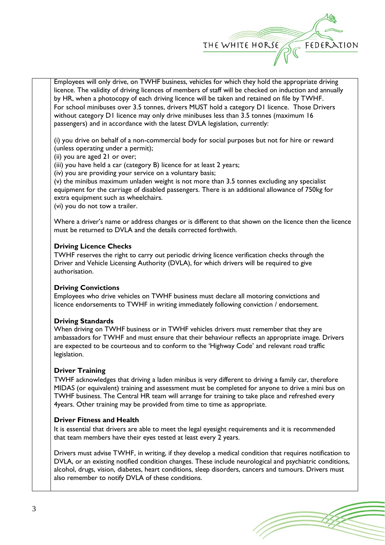

Employees will only drive, on TWHF business, vehicles for which they hold the appropriate driving licence. The validity of driving licences of members of staff will be checked on induction and annually by HR, when a photocopy of each driving licence will be taken and retained on file by TWHF. For school minibuses over 3.5 tonnes, drivers MUST hold a category D1 licence. Those Drivers without category D1 licence may only drive minibuses less than 3.5 tonnes (maximum 16 passengers) and in accordance with the latest DVLA legislation, currently:

(i) you drive on behalf of a non-commercial body for social purposes but not for hire or reward (unless operating under a permit);

(ii) you are aged 21 or over;

(iii) you have held a car (category B) licence for at least 2 years;

(iv) you are providing your service on a voluntary basis;

(v) the minibus maximum unladen weight is not more than 3.5 tonnes excluding any specialist equipment for the carriage of disabled passengers. There is an additional allowance of 750kg for extra equipment such as wheelchairs.

(vi) you do not tow a trailer.

Where a driver's name or address changes or is different to that shown on the licence then the licence must be returned to DVLA and the details corrected forthwith.

# **Driving Licence Checks**

TWHF reserves the right to carry out periodic driving licence verification checks through the Driver and Vehicle Licensing Authority (DVLA), for which drivers will be required to give authorisation.

# **Driving Convictions**

Employees who drive vehicles on TWHF business must declare all motoring convictions and licence endorsements to TWHF in writing immediately following conviction / endorsement.

# **Driving Standards**

When driving on TWHF business or in TWHF vehicles drivers must remember that they are ambassadors for TWHF and must ensure that their behaviour reflects an appropriate image. Drivers are expected to be courteous and to conform to the 'Highway Code' and relevant road traffic legislation.

# **Driver Training**

TWHF acknowledges that driving a laden minibus is very different to driving a family car, therefore MIDAS (or equivalent) training and assessment must be completed for anyone to drive a mini bus on TWHF business. The Central HR team will arrange for training to take place and refreshed every 4years. Other training may be provided from time to time as appropriate.

# **Driver Fitness and Health**

It is essential that drivers are able to meet the legal eyesight requirements and it is recommended that team members have their eyes tested at least every 2 years.

Drivers must advise TWHF, in writing, if they develop a medical condition that requires notification to DVLA, or an existing notified condition changes. These include neurological and psychiatric conditions, alcohol, drugs, vision, diabetes, heart conditions, sleep disorders, cancers and tumours. Drivers must also remember to notify DVLA of these conditions.

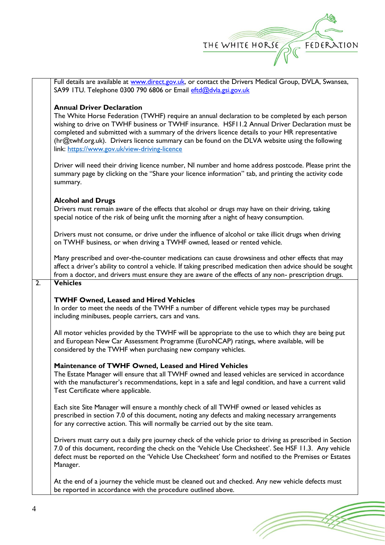

T

|                  | Full details are available at www.direct.gov.uk, or contact the Drivers Medical Group, DVLA, Swansea,<br>SA99 ITU. Telephone 0300 790 6806 or Email eftd@dvla.gsi.gov.uk                                                                                                                                                                                                                                                                                                                   |
|------------------|--------------------------------------------------------------------------------------------------------------------------------------------------------------------------------------------------------------------------------------------------------------------------------------------------------------------------------------------------------------------------------------------------------------------------------------------------------------------------------------------|
|                  | <b>Annual Driver Declaration</b><br>The White Horse Federation (TWHF) require an annual declaration to be completed by each person<br>wishing to drive on TWHF business or TWHF insurance. HSF11.2 Annual Driver Declaration must be<br>completed and submitted with a summary of the drivers licence details to your HR representative<br>(hr@twhf.org.uk). Drivers licence summary can be found on the DLVA website using the following<br>link: https://www.gov.uk/view-driving-licence |
|                  | Driver will need their driving licence number, NI number and home address postcode. Please print the<br>summary page by clicking on the "Share your licence information" tab, and printing the activity code<br>summary.                                                                                                                                                                                                                                                                   |
|                  | <b>Alcohol and Drugs</b><br>Drivers must remain aware of the effects that alcohol or drugs may have on their driving, taking<br>special notice of the risk of being unfit the morning after a night of heavy consumption.                                                                                                                                                                                                                                                                  |
|                  | Drivers must not consume, or drive under the influence of alcohol or take illicit drugs when driving<br>on TWHF business, or when driving a TWHF owned, leased or rented vehicle.                                                                                                                                                                                                                                                                                                          |
|                  | Many prescribed and over-the-counter medications can cause drowsiness and other effects that may<br>affect a driver's ability to control a vehicle. If taking prescribed medication then advice should be sought<br>from a doctor, and drivers must ensure they are aware of the effects of any non- prescription drugs.                                                                                                                                                                   |
| $\overline{2}$ . | <b>Vehicles</b>                                                                                                                                                                                                                                                                                                                                                                                                                                                                            |
|                  | <b>TWHF Owned, Leased and Hired Vehicles</b><br>In order to meet the needs of the TWHF a number of different vehicle types may be purchased<br>including minibuses, people carriers, cars and vans.                                                                                                                                                                                                                                                                                        |
|                  | All motor vehicles provided by the TWHF will be appropriate to the use to which they are being put<br>and European New Car Assessment Programme (EuroNCAP) ratings, where available, will be<br>considered by the TWHF when purchasing new company vehicles.                                                                                                                                                                                                                               |
|                  | Maintenance of TWHF Owned, Leased and Hired Vehicles<br>The Estate Manager will ensure that all TWHF owned and leased vehicles are serviced in accordance<br>with the manufacturer's recommendations, kept in a safe and legal condition, and have a current valid<br>Test Certificate where applicable.                                                                                                                                                                                   |
|                  | Each site Site Manager will ensure a monthly check of all TWHF owned or leased vehicles as<br>prescribed in section 7.0 of this document, noting any defects and making necessary arrangements<br>for any corrective action. This will normally be carried out by the site team.                                                                                                                                                                                                           |
|                  | Drivers must carry out a daily pre journey check of the vehicle prior to driving as prescribed in Section<br>7.0 of this document, recording the check on the 'Vehicle Use Checksheet'. See HSF 11.3. Any vehicle<br>defect must be reported on the 'Vehicle Use Checksheet' form and notified to the Premises or Estates<br>Manager.                                                                                                                                                      |
|                  | At the end of a journey the vehicle must be cleaned out and checked. Any new vehicle defects must<br>be reported in accordance with the procedure outlined above.                                                                                                                                                                                                                                                                                                                          |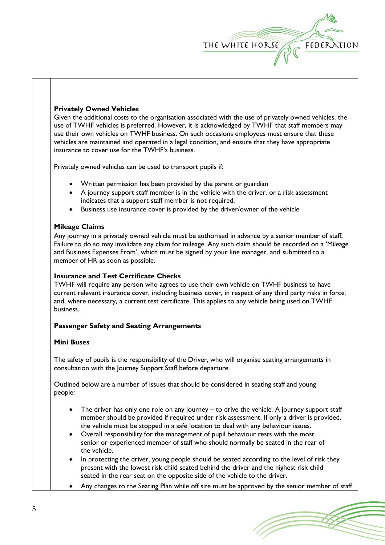

## **Privately Owned Vehicles**

Given the additional costs to the organisation associated with the use of privately owned vehicles, the use of TWHF vehicles is preferred. However, it is acknowledged by TWHF that staff members may use their own vehicles on TWHF business. On such occasions employees must ensure that these vehicles are maintained and operated in a legal condition, and ensure that they have appropriate insurance to cover use for the TWHF's business.

Privately owned vehicles can be used to transport pupils if:

- Written permission has been provided by the parent or guardian
- A journey support staff member is in the vehicle with the driver, or a risk assessment indicates that a support staff member is not required.
- Business use insurance cover is provided by the driver/owner of the vehicle

## **Mileage Claims**

Any journey in a privately owned vehicle must be authorised in advance by a senior member of staff. Failure to do so may invalidate any claim for mileage. Any such claim should be recorded on a 'Mileage and Business Expenses From', which must be signed by your line manager, and submitted to a member of HR as soon as possible.

## **Insurance and Test Certificate Checks**

TWHF will require any person who agrees to use their own vehicle on TWHF business to have current relevant insurance cover, including business cover, in respect of any third party risks in force, and, where necessary, a current test certificate. This applies to any vehicle being used on TWHF business.

# **Passenger Safety and Seating Arrangements**

## **Mini Buses**

The safety of pupils is the responsibility of the Driver, who will organise seating arrangements in consultation with the Journey Support Staff before departure.

Outlined below are a number of issues that should be considered in seating staff and young people:

- The driver has only one role on any journey  $-$  to drive the vehicle. A journey support staff member should be provided if required under risk assessment. If only a driver is provided, the vehicle must be stopped in a safe location to deal with any behaviour issues.
- Overall responsibility for the management of pupil behaviour rests with the most senior or experienced member of staff who should normally be seated in the rear of the vehicle.
- In protecting the driver, young people should be seated according to the level of risk they present with the lowest risk child seated behind the driver and the highest risk child seated in the rear seat on the opposite side of the vehicle to the driver.
- Any changes to the Seating Plan while off site must be approved by the senior member of staff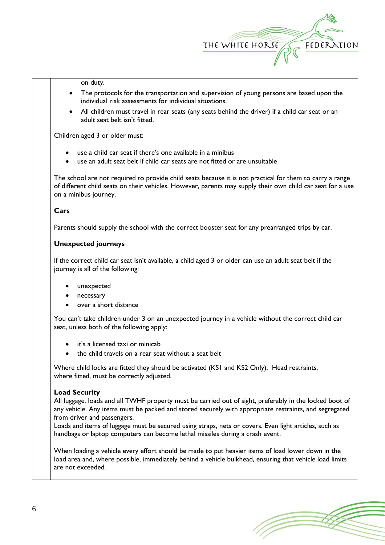

on duty.

- The protocols for the transportation and supervision of young persons are based upon the individual risk assessments for individual situations.
- All children must travel in rear seats (any seats behind the driver) if a child car seat or an adult seat belt isn't fitted.

Children aged 3 or older must:

- use a child car seat if there's one available in a minibus
- use an adult seat belt if child car seats are not fitted or are unsuitable

The school are not required to provide child seats because it is not practical for them to carry a range of different child seats on their vehicles. However, parents may supply their own child car seat for a use on a minibus journey.

## **Cars**

Parents should supply the school with the correct booster seat for any prearranged trips by car.

# **Unexpected journeys**

If the correct child car seat isn't available, a child aged 3 or older can use an adult seat belt if the journey is all of the following:

- unexpected
- necessary
- over a short distance

You can't take children under 3 on an unexpected journey in a vehicle without the correct child car seat, unless both of the following apply:

- it's a licensed taxi or minicab
- the child travels on a rear seat without a seat belt

Where child locks are fitted they should be activated (KS1 and KS2 Only). Head restraints, where fitted, must be correctly adjusted.

# **Load Security**

All luggage, loads and all TWHF property must be carried out of sight, preferably in the locked boot of any vehicle. Any items must be packed and stored securely with appropriate restraints, and segregated from driver and passengers.

Loads and items of luggage must be secured using straps, nets or covers. Even light articles, such as handbags or laptop computers can become lethal missiles during a crash event.

When loading a vehicle every effort should be made to put heavier items of load lower down in the load area and, where possible, immediately behind a vehicle bulkhead, ensuring that vehicle load limits are not exceeded.

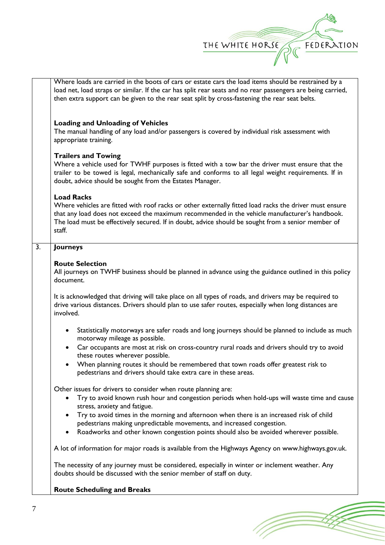

1 T

|    | Where loads are carried in the boots of cars or estate cars the load items should be restrained by a<br>load net, load straps or similar. If the car has split rear seats and no rear passengers are being carried,<br>then extra support can be given to the rear seat split by cross-fastening the rear seat belts.                        |
|----|----------------------------------------------------------------------------------------------------------------------------------------------------------------------------------------------------------------------------------------------------------------------------------------------------------------------------------------------|
|    | <b>Loading and Unloading of Vehicles</b><br>The manual handling of any load and/or passengers is covered by individual risk assessment with<br>appropriate training.                                                                                                                                                                         |
|    | <b>Trailers and Towing</b><br>Where a vehicle used for TWHF purposes is fitted with a tow bar the driver must ensure that the<br>trailer to be towed is legal, mechanically safe and conforms to all legal weight requirements. If in<br>doubt, advice should be sought from the Estates Manager.                                            |
|    | <b>Load Racks</b><br>Where vehicles are fitted with roof racks or other externally fitted load racks the driver must ensure<br>that any load does not exceed the maximum recommended in the vehicle manufacturer's handbook.<br>The load must be effectively secured. If in doubt, advice should be sought from a senior member of<br>staff. |
| 3. | Journeys                                                                                                                                                                                                                                                                                                                                     |
|    | <b>Route Selection</b><br>All journeys on TWHF business should be planned in advance using the guidance outlined in this policy<br>document.                                                                                                                                                                                                 |
|    | It is acknowledged that driving will take place on all types of roads, and drivers may be required to<br>drive various distances. Drivers should plan to use safer routes, especially when long distances are<br>involved.                                                                                                                   |
|    | Statistically motorways are safer roads and long journeys should be planned to include as much<br>$\bullet$<br>motorway mileage as possible.                                                                                                                                                                                                 |
|    | Car occupants are most at risk on cross-country rural roads and drivers should try to avoid<br>these routes wherever possible.                                                                                                                                                                                                               |
|    | When planning routes it should be remembered that town roads offer greatest risk to<br>pedestrians and drivers should take extra care in these areas.                                                                                                                                                                                        |
|    | Other issues for drivers to consider when route planning are:<br>Try to avoid known rush hour and congestion periods when hold-ups will waste time and cause<br>stress, anxiety and fatigue.                                                                                                                                                 |
|    | Try to avoid times in the morning and afternoon when there is an increased risk of child<br>pedestrians making unpredictable movements, and increased congestion.                                                                                                                                                                            |
|    | Roadworks and other known congestion points should also be avoided wherever possible.<br>٠                                                                                                                                                                                                                                                   |
|    | A lot of information for major roads is available from the Highways Agency on www.highways.gov.uk.                                                                                                                                                                                                                                           |
|    | The necessity of any journey must be considered, especially in winter or inclement weather. Any<br>doubts should be discussed with the senior member of staff on duty.                                                                                                                                                                       |
|    | <b>Route Scheduling and Breaks</b>                                                                                                                                                                                                                                                                                                           |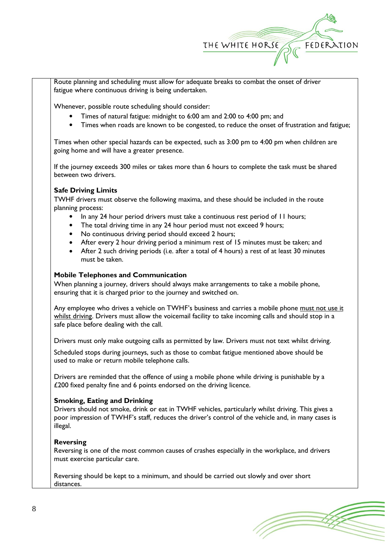

Route planning and scheduling must allow for adequate breaks to combat the onset of driver fatigue where continuous driving is being undertaken.

Whenever, possible route scheduling should consider:

- Times of natural fatigue: midnight to 6:00 am and 2:00 to 4:00 pm; and
- Times when roads are known to be congested, to reduce the onset of frustration and fatigue;

Times when other special hazards can be expected, such as 3:00 pm to 4:00 pm when children are going home and will have a greater presence.

If the journey exceeds 300 miles or takes more than 6 hours to complete the task must be shared between two drivers.

# **Safe Driving Limits**

TWHF drivers must observe the following maxima, and these should be included in the route planning process:

- In any 24 hour period drivers must take a continuous rest period of 11 hours;
- The total driving time in any 24 hour period must not exceed 9 hours;
- No continuous driving period should exceed 2 hours;
- After every 2 hour driving period a minimum rest of 15 minutes must be taken; and
- After 2 such driving periods (i.e. after a total of 4 hours) a rest of at least 30 minutes must be taken.

## **Mobile Telephones and Communication**

When planning a journey, drivers should always make arrangements to take a mobile phone, ensuring that it is charged prior to the journey and switched on.

Any employee who drives a vehicle on TWHF's business and carries a mobile phone must not use it whilst driving. Drivers must allow the voicemail facility to take incoming calls and should stop in a safe place before dealing with the call.

Drivers must only make outgoing calls as permitted by law. Drivers must not text whilst driving.

Scheduled stops during journeys, such as those to combat fatigue mentioned above should be used to make or return mobile telephone calls.

Drivers are reminded that the offence of using a mobile phone while driving is punishable by a £200 fixed penalty fine and 6 points endorsed on the driving licence.

# **Smoking, Eating and Drinking**

Drivers should not smoke, drink or eat in TWHF vehicles, particularly whilst driving. This gives a poor impression of TWHF's staff, reduces the driver's control of the vehicle and, in many cases is illegal.

## **Reversing**

Reversing is one of the most common causes of crashes especially in the workplace, and drivers must exercise particular care.

Reversing should be kept to a minimum, and should be carried out slowly and over short distances.

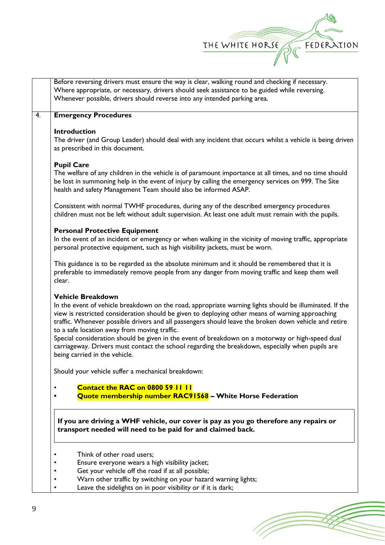

|        | Before reversing drivers must ensure the way is clear, walking round and checking if necessary.<br>Where appropriate, or necessary, drivers should seek assistance to be guided while reversing.<br>Whenever possible, drivers should reverse into any intended parking area.                                                                                                                                                                                                                                                                                                                                                             |
|--------|-------------------------------------------------------------------------------------------------------------------------------------------------------------------------------------------------------------------------------------------------------------------------------------------------------------------------------------------------------------------------------------------------------------------------------------------------------------------------------------------------------------------------------------------------------------------------------------------------------------------------------------------|
|        | <b>Emergency Procedures</b>                                                                                                                                                                                                                                                                                                                                                                                                                                                                                                                                                                                                               |
|        | <b>Introduction</b>                                                                                                                                                                                                                                                                                                                                                                                                                                                                                                                                                                                                                       |
|        | The driver (and Group Leader) should deal with any incident that occurs whilst a vehicle is being driven<br>as prescribed in this document.                                                                                                                                                                                                                                                                                                                                                                                                                                                                                               |
|        | <b>Pupil Care</b>                                                                                                                                                                                                                                                                                                                                                                                                                                                                                                                                                                                                                         |
|        | The welfare of any children in the vehicle is of paramount importance at all times, and no time should<br>be lost in summoning help in the event of injury by calling the emergency services on 999. The Site<br>health and safety Management Team should also be informed ASAP.                                                                                                                                                                                                                                                                                                                                                          |
|        | Consistent with normal TWHF procedures, during any of the described emergency procedures<br>children must not be left without adult supervision. At least one adult must remain with the pupils.                                                                                                                                                                                                                                                                                                                                                                                                                                          |
|        | <b>Personal Protective Equipment</b>                                                                                                                                                                                                                                                                                                                                                                                                                                                                                                                                                                                                      |
|        | In the event of an incident or emergency or when walking in the vicinity of moving traffic, appropriate<br>personal protective equipment, such as high visibility jackets, must be worn.                                                                                                                                                                                                                                                                                                                                                                                                                                                  |
| clear. | This guidance is to be regarded as the absolute minimum and it should be remembered that it is<br>preferable to immediately remove people from any danger from moving traffic and keep them well                                                                                                                                                                                                                                                                                                                                                                                                                                          |
|        | <b>Vehicle Breakdown</b><br>In the event of vehicle breakdown on the road, appropriate warning lights should be illuminated. If the<br>view is restricted consideration should be given to deploying other means of warning approaching<br>traffic. Whenever possible drivers and all passengers should leave the broken down vehicle and retire<br>to a safe location away from moving traffic.<br>Special consideration should be given in the event of breakdown on a motorway or high-speed dual<br>carriageway. Drivers must contact the school regarding the breakdown, especially when pupils are<br>being carried in the vehicle. |
|        | Should your vehicle suffer a mechanical breakdown:                                                                                                                                                                                                                                                                                                                                                                                                                                                                                                                                                                                        |
|        | <b>Contact the RAC on 0800 59 11 11</b>                                                                                                                                                                                                                                                                                                                                                                                                                                                                                                                                                                                                   |
|        | Quote membership number RAC91568 - White Horse Federation                                                                                                                                                                                                                                                                                                                                                                                                                                                                                                                                                                                 |
|        | If you are driving a WHF vehicle, our cover is pay as you go therefore any repairs or<br>transport needed will need to be paid for and claimed back.                                                                                                                                                                                                                                                                                                                                                                                                                                                                                      |
|        | Think of other road users;                                                                                                                                                                                                                                                                                                                                                                                                                                                                                                                                                                                                                |
|        | Ensure everyone wears a high visibility jacket;                                                                                                                                                                                                                                                                                                                                                                                                                                                                                                                                                                                           |
|        | Get your vehicle off the road if at all possible;                                                                                                                                                                                                                                                                                                                                                                                                                                                                                                                                                                                         |
|        | Warn other traffic by switching on your hazard warning lights;                                                                                                                                                                                                                                                                                                                                                                                                                                                                                                                                                                            |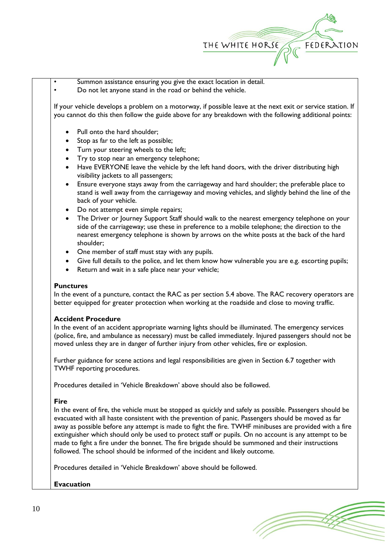

Summon assistance ensuring you give the exact location in detail. • Do not let anyone stand in the road or behind the vehicle.

If your vehicle develops a problem on a motorway, if possible leave at the next exit or service station. If you cannot do this then follow the guide above for any breakdown with the following additional points:

- Pull onto the hard shoulder;
- Stop as far to the left as possible;
- Turn your steering wheels to the left;
- Try to stop near an emergency telephone;
- Have EVERYONE leave the vehicle by the left hand doors, with the driver distributing high visibility jackets to all passengers;
- Ensure everyone stays away from the carriageway and hard shoulder; the preferable place to stand is well away from the carriageway and moving vehicles, and slightly behind the line of the back of your vehicle.
- Do not attempt even simple repairs;
- The Driver or Journey Support Staff should walk to the nearest emergency telephone on your side of the carriageway; use these in preference to a mobile telephone; the direction to the nearest emergency telephone is shown by arrows on the white posts at the back of the hard shoulder;
- One member of staff must stay with any pupils.
- Give full details to the police, and let them know how vulnerable you are e.g. escorting pupils;
- Return and wait in a safe place near your vehicle;

## **Punctures**

In the event of a puncture, contact the RAC as per section 5.4 above. The RAC recovery operators are better equipped for greater protection when working at the roadside and close to moving traffic.

## **Accident Procedure**

In the event of an accident appropriate warning lights should be illuminated. The emergency services (police, fire, and ambulance as necessary) must be called immediately. Injured passengers should not be moved unless they are in danger of further injury from other vehicles, fire or explosion.

Further guidance for scene actions and legal responsibilities are given in Section 6.7 together with TWHF reporting procedures.

Procedures detailed in 'Vehicle Breakdown' above should also be followed.

## **Fire**

In the event of fire, the vehicle must be stopped as quickly and safely as possible. Passengers should be evacuated with all haste consistent with the prevention of panic. Passengers should be moved as far away as possible before any attempt is made to fight the fire. TWHF minibuses are provided with a fire extinguisher which should only be used to protect staff or pupils. On no account is any attempt to be made to fight a fire under the bonnet. The fire brigade should be summoned and their instructions followed. The school should be informed of the incident and likely outcome.

Procedures detailed in 'Vehicle Breakdown' above should be followed.

# **Evacuation**

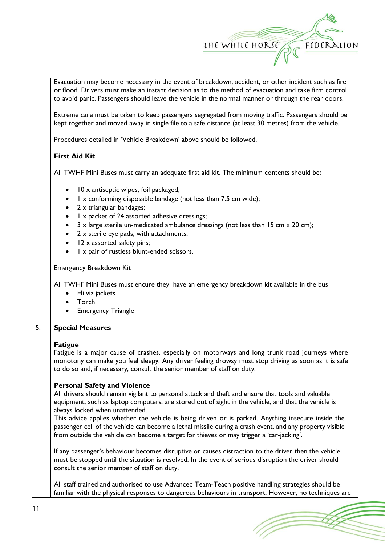

Evacuation may become necessary in the event of breakdown, accident, or other incident such as fire or flood. Drivers must make an instant decision as to the method of evacuation and take firm control to avoid panic. Passengers should leave the vehicle in the normal manner or through the rear doors.

Extreme care must be taken to keep passengers segregated from moving traffic. Passengers should be kept together and moved away in single file to a safe distance (at least 30 metres) from the vehicle.

Procedures detailed in 'Vehicle Breakdown' above should be followed.

# **First Aid Kit**

All TWHF Mini Buses must carry an adequate first aid kit. The minimum contents should be:

- 10 x antiseptic wipes, foil packaged;
- 1 x conforming disposable bandage (not less than 7.5 cm wide);
- 2 x triangular bandages;
- 1 x packet of 24 assorted adhesive dressings;
- $3 \times$  large sterile un-medicated ambulance dressings (not less than 15 cm  $\times$  20 cm);
- 2 x sterile eye pads, with attachments;
- 12 x assorted safety pins;
- 1 x pair of rustless blunt-ended scissors.

Emergency Breakdown Kit

All TWHF Mini Buses must encure they have an emergency breakdown kit available in the bus

- Hi viz jackets
- Torch
- Emergency Triangle

## 5. **Special Measures**

## **Fatigue**

Fatigue is a major cause of crashes, especially on motorways and long trunk road journeys where monotony can make you feel sleepy. Any driver feeling drowsy must stop driving as soon as it is safe to do so and, if necessary, consult the senior member of staff on duty.

# **Personal Safety and Violence**

All drivers should remain vigilant to personal attack and theft and ensure that tools and valuable equipment, such as laptop computers, are stored out of sight in the vehicle, and that the vehicle is always locked when unattended.

This advice applies whether the vehicle is being driven or is parked. Anything insecure inside the passenger cell of the vehicle can become a lethal missile during a crash event, and any property visible from outside the vehicle can become a target for thieves or may trigger a 'car-jacking'.

If any passenger's behaviour becomes disruptive or causes distraction to the driver then the vehicle must be stopped until the situation is resolved. In the event of serious disruption the driver should consult the senior member of staff on duty.

All staff trained and authorised to use Advanced Team-Teach positive handling strategies should be familiar with the physical responses to dangerous behaviours in transport. However, no techniques are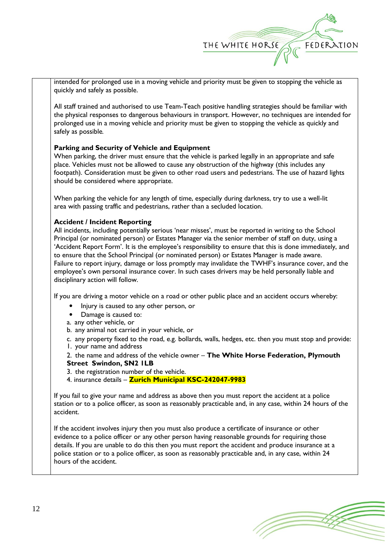

intended for prolonged use in a moving vehicle and priority must be given to stopping the vehicle as quickly and safely as possible.

All staff trained and authorised to use Team-Teach positive handling strategies should be familiar with the physical responses to dangerous behaviours in transport. However, no techniques are intended for prolonged use in a moving vehicle and priority must be given to stopping the vehicle as quickly and safely as possible*.*

# **Parking and Security of Vehicle and Equipment**

When parking, the driver must ensure that the vehicle is parked legally in an appropriate and safe place. Vehicles must not be allowed to cause any obstruction of the highway (this includes any footpath). Consideration must be given to other road users and pedestrians. The use of hazard lights should be considered where appropriate.

When parking the vehicle for any length of time, especially during darkness, try to use a well-lit area with passing traffic and pedestrians, rather than a secluded location.

## **Accident / Incident Reporting**

All incidents, including potentially serious 'near misses', must be reported in writing to the School Principal (or nominated person) or Estates Manager via the senior member of staff on duty, using a 'Accident Report Form'. It is the employee's responsibility to ensure that this is done immediately, and to ensure that the School Principal (or nominated person) or Estates Manager is made aware. Failure to report injury, damage or loss promptly may invalidate the TWHF's insurance cover, and the employee's own personal insurance cover. In such cases drivers may be held personally liable and disciplinary action will follow.

If you are driving a motor vehicle on a road or other public place and an accident occurs whereby:

- Injury is caused to any other person, or
- Damage is caused to:
- a. any other vehicle, or
- b. any animal not carried in your vehicle, or

c. any property fixed to the road, e.g. bollards, walls, hedges, etc. then you must stop and provide:

1. your name and address

2. the name and address of the vehicle owner – **The White Horse Federation, Plymouth Street Swindon, SN2 1LB**

3. the registration number of the vehicle.

4. insurance details – **Zurich Municipal KSC-242047-9983**

If you fail to give your name and address as above then you must report the accident at a police station or to a police officer, as soon as reasonably practicable and, in any case, within 24 hours of the accident.

If the accident involves injury then you must also produce a certificate of insurance or other evidence to a police officer or any other person having reasonable grounds for requiring those details. If you are unable to do this then you must report the accident and produce insurance at a police station or to a police officer, as soon as reasonably practicable and, in any case, within 24 hours of the accident.

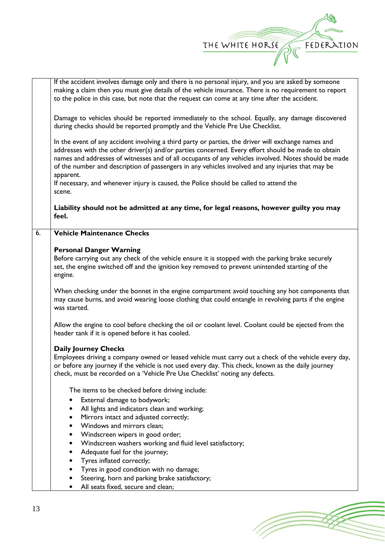| THE WHITE HORSE | FEDERATION |
|-----------------|------------|
|                 |            |

|    | If the accident involves damage only and there is no personal injury, and you are asked by someone     |  |  |
|----|--------------------------------------------------------------------------------------------------------|--|--|
|    | making a claim then you must give details of the vehicle insurance. There is no requirement to report  |  |  |
|    | to the police in this case, but note that the request can come at any time after the accident.         |  |  |
|    |                                                                                                        |  |  |
|    | Damage to vehicles should be reported immediately to the school. Equally, any damage discovered        |  |  |
|    | during checks should be reported promptly and the Vehicle Pre Use Checklist.                           |  |  |
|    |                                                                                                        |  |  |
|    | In the event of any accident involving a third party or parties, the driver will exchange names and    |  |  |
|    | addresses with the other driver(s) and/or parties concerned. Every effort should be made to obtain     |  |  |
|    | names and addresses of witnesses and of all occupants of any vehicles involved. Notes should be made   |  |  |
|    | of the number and description of passengers in any vehicles involved and any injuries that may be      |  |  |
|    | apparent.                                                                                              |  |  |
|    | If necessary, and whenever injury is caused, the Police should be called to attend the                 |  |  |
|    | scene.                                                                                                 |  |  |
|    |                                                                                                        |  |  |
|    | Liability should not be admitted at any time, for legal reasons, however guilty you may<br>feel.       |  |  |
|    |                                                                                                        |  |  |
| 6. | <b>Vehicle Maintenance Checks</b>                                                                      |  |  |
|    |                                                                                                        |  |  |
|    | <b>Personal Danger Warning</b>                                                                         |  |  |
|    | Before carrying out any check of the vehicle ensure it is stopped with the parking brake securely      |  |  |
|    | set, the engine switched off and the ignition key removed to prevent unintended starting of the        |  |  |
|    | engine.                                                                                                |  |  |
|    |                                                                                                        |  |  |
|    | When checking under the bonnet in the engine compartment avoid touching any hot components that        |  |  |
|    | may cause burns, and avoid wearing loose clothing that could entangle in revolving parts if the engine |  |  |
|    | was started.                                                                                           |  |  |
|    | Allow the engine to cool before checking the oil or coolant level. Coolant could be ejected from the   |  |  |
|    | header tank if it is opened before it has cooled.                                                      |  |  |
|    |                                                                                                        |  |  |
|    | <b>Daily Journey Checks</b>                                                                            |  |  |
|    | Employees driving a company owned or leased vehicle must carry out a check of the vehicle every day,   |  |  |
|    | or before any journey if the vehicle is not used every day. This check, known as the daily journey     |  |  |
|    | check, must be recorded on a 'Vehicle Pre Use Checklist' noting any defects.                           |  |  |
|    |                                                                                                        |  |  |
|    | The items to be checked before driving include:                                                        |  |  |
|    | External damage to bodywork;                                                                           |  |  |
|    | All lights and indicators clean and working;                                                           |  |  |
|    | Mirrors intact and adjusted correctly;                                                                 |  |  |
|    | Windows and mirrors clean;                                                                             |  |  |
|    | Windscreen wipers in good order;<br>٠                                                                  |  |  |
|    | Windscreen washers working and fluid level satisfactory;<br>٠                                          |  |  |
|    | Adequate fuel for the journey;                                                                         |  |  |
|    | Tyres inflated correctly;<br>٠                                                                         |  |  |
|    | Tyres in good condition with no damage;<br>٠                                                           |  |  |
|    | Steering, horn and parking brake satisfactory;<br>٠<br>All seats fixed, secure and clean;              |  |  |
|    |                                                                                                        |  |  |
|    |                                                                                                        |  |  |

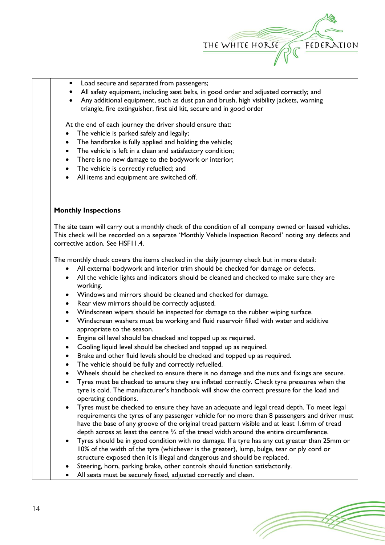

- Load secure and separated from passengers;
- All safety equipment, including seat belts, in good order and adjusted correctly; and
- Any additional equipment, such as dust pan and brush, high visibility jackets, warning triangle, fire extinguisher, first aid kit, secure and in good order

At the end of each journey the driver should ensure that:

- The vehicle is parked safely and legally;
- The handbrake is fully applied and holding the vehicle;
- The vehicle is left in a clean and satisfactory condition;
- There is no new damage to the bodywork or interior;
- The vehicle is correctly refuelled; and
- All items and equipment are switched off.

## **Monthly Inspections**

The site team will carry out a monthly check of the condition of all company owned or leased vehicles. This check will be recorded on a separate 'Monthly Vehicle Inspection Record' noting any defects and corrective action. See HSF11.4.

The monthly check covers the items checked in the daily journey check but in more detail:

- All external bodywork and interior trim should be checked for damage or defects.
- All the vehicle lights and indicators should be cleaned and checked to make sure they are working.
- Windows and mirrors should be cleaned and checked for damage.
- Rear view mirrors should be correctly adjusted.
- Windscreen wipers should be inspected for damage to the rubber wiping surface.
- Windscreen washers must be working and fluid reservoir filled with water and additive appropriate to the season.
- Engine oil level should be checked and topped up as required.
- Cooling liquid level should be checked and topped up as required.
- Brake and other fluid levels should be checked and topped up as required.
- The vehicle should be fully and correctly refuelled.
- Wheels should be checked to ensure there is no damage and the nuts and fixings are secure.
- Tyres must be checked to ensure they are inflated correctly. Check tyre pressures when the tyre is cold. The manufacturer's handbook will show the correct pressure for the load and operating conditions.
- Tyres must be checked to ensure they have an adequate and legal tread depth. To meet legal requirements the tyres of any passenger vehicle for no more than 8 passengers and driver must have the base of any groove of the original tread pattern visible and at least 1.6mm of tread depth across at least the centre  $\frac{3}{4}$  of the tread width around the entire circumference.
- Tyres should be in good condition with no damage. If a tyre has any cut greater than 25mm or 10% of the width of the tyre (whichever is the greater), lump, bulge, tear or ply cord or structure exposed then it is illegal and dangerous and should be replaced.
- Steering, horn, parking brake, other controls should function satisfactorily.
- All seats must be securely fixed, adjusted correctly and clean.

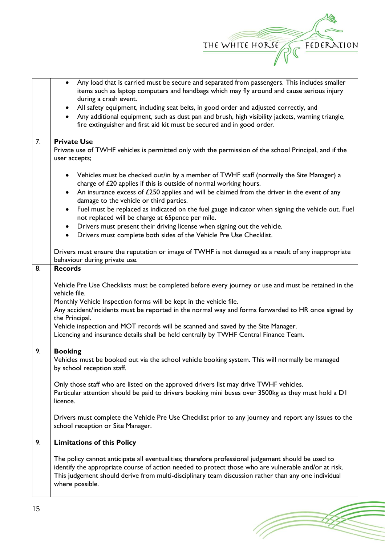

(Topon

|                  | Any load that is carried must be secure and separated from passengers. This includes smaller<br>$\bullet$<br>items such as laptop computers and handbags which may fly around and cause serious injury<br>during a crash event.                                                                                                      |
|------------------|--------------------------------------------------------------------------------------------------------------------------------------------------------------------------------------------------------------------------------------------------------------------------------------------------------------------------------------|
|                  | All safety equipment, including seat belts, in good order and adjusted correctly, and<br>Any additional equipment, such as dust pan and brush, high visibility jackets, warning triangle,<br>fire extinguisher and first aid kit must be secured and in good order.                                                                  |
| $\overline{7}$ . | <b>Private Use</b><br>Private use of TWHF vehicles is permitted only with the permission of the school Principal, and if the<br>user accepts;                                                                                                                                                                                        |
|                  | Vehicles must be checked out/in by a member of TWHF staff (normally the Site Manager) a<br>charge of £20 applies if this is outside of normal working hours.<br>An insurance excess of £250 applies and will be claimed from the driver in the event of any<br>damage to the vehicle or third parties.                               |
|                  | Fuel must be replaced as indicated on the fuel gauge indicator when signing the vehicle out. Fuel<br>not replaced will be charge at 65pence per mile.                                                                                                                                                                                |
|                  | Drivers must present their driving license when signing out the vehicle.<br>Drivers must complete both sides of the Vehicle Pre Use Checklist.<br>$\bullet$                                                                                                                                                                          |
|                  | Drivers must ensure the reputation or image of TWHF is not damaged as a result of any inappropriate<br>behaviour during private use.                                                                                                                                                                                                 |
| 8.               | <b>Records</b>                                                                                                                                                                                                                                                                                                                       |
|                  | Vehicle Pre Use Checklists must be completed before every journey or use and must be retained in the<br>vehicle file.<br>Monthly Vehicle Inspection forms will be kept in the vehicle file.<br>Any accident/incidents must be reported in the normal way and forms forwarded to HR once signed by                                    |
|                  | the Principal.<br>Vehicle inspection and MOT records will be scanned and saved by the Site Manager.<br>Licencing and insurance details shall be held centrally by TWHF Central Finance Team.                                                                                                                                         |
| 9.               | <b>Booking</b><br>Vehicles must be booked out via the school vehicle booking system. This will normally be managed<br>by school reception staff.                                                                                                                                                                                     |
|                  | Only those staff who are listed on the approved drivers list may drive TWHF vehicles.<br>Particular attention should be paid to drivers booking mini buses over 3500kg as they must hold a DI<br>licence.                                                                                                                            |
|                  | Drivers must complete the Vehicle Pre Use Checklist prior to any journey and report any issues to the<br>school reception or Site Manager.                                                                                                                                                                                           |
| $\overline{9}$ . | <b>Limitations of this Policy</b>                                                                                                                                                                                                                                                                                                    |
|                  | The policy cannot anticipate all eventualities; therefore professional judgement should be used to<br>identify the appropriate course of action needed to protect those who are vulnerable and/or at risk.<br>This judgement should derive from multi-disciplinary team discussion rather than any one individual<br>where possible. |
|                  |                                                                                                                                                                                                                                                                                                                                      |